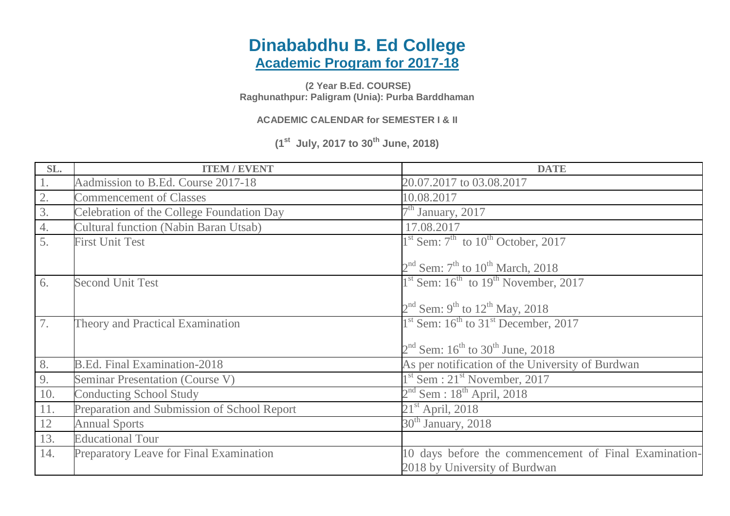## **Dinababdhu B. Ed College Academic Program for 2017-18**

**(2 Year B.Ed. COURSE) Raghunathpur: Paligram (Unia): Purba Barddhaman**

**ACADEMIC CALENDAR for SEMESTER I & II**

**(1st July, 2017 to 30th June, 2018)**

| SL.              | <b>ITEM / EVENT</b>                          | <b>DATE</b>                                                                            |
|------------------|----------------------------------------------|----------------------------------------------------------------------------------------|
| 1.               | Aadmission to B.Ed. Course 2017-18           | 20.07.2017 to 03.08.2017                                                               |
| 2.               | <b>Commencement of Classes</b>               | 10.08.2017                                                                             |
| $\overline{3}$ . | Celebration of the College Foundation Day    | $7th$ January, 2017                                                                    |
| 4.               | <b>Cultural function (Nabin Baran Utsab)</b> | 17.08.2017                                                                             |
| 5.               | <b>First Unit Test</b>                       | $1st$ Sem: $7th$ to $10th$ October, 2017                                               |
|                  |                                              | $2nd$ Sem: 7 <sup>th</sup> to 10 <sup>th</sup> March, 2018                             |
| 6.               | <b>Second Unit Test</b>                      | $1st$ Sem: $16th$ to $19th$ November, 2017                                             |
|                  |                                              | $2nd$ Sem: 9 <sup>th</sup> to 12 <sup>th</sup> May, 2018                               |
| 7.               | Theory and Practical Examination             | $1st$ Sem: $16th$ to $31st$ December, 2017                                             |
|                  |                                              | $2nd$ Sem: $16th$ to $30th$ June, 2018                                                 |
| 8.               | <b>B.Ed. Final Examination-2018</b>          | As per notification of the University of Burdwan                                       |
| 9.               | <b>Seminar Presentation (Course V)</b>       | $1st$ Sem : 21 <sup>st</sup> November, 2017                                            |
| 10.              | <b>Conducting School Study</b>               | $2nd$ Sem : 18 <sup>th</sup> April, 2018                                               |
| 11.              | Preparation and Submission of School Report  | $21st$ April, 2018                                                                     |
| 12               | <b>Annual Sports</b>                         | $30th$ January, 2018                                                                   |
| 13.              | <b>Educational Tour</b>                      |                                                                                        |
| 14.              | Preparatory Leave for Final Examination      | 10 days before the commencement of Final Examination-<br>2018 by University of Burdwan |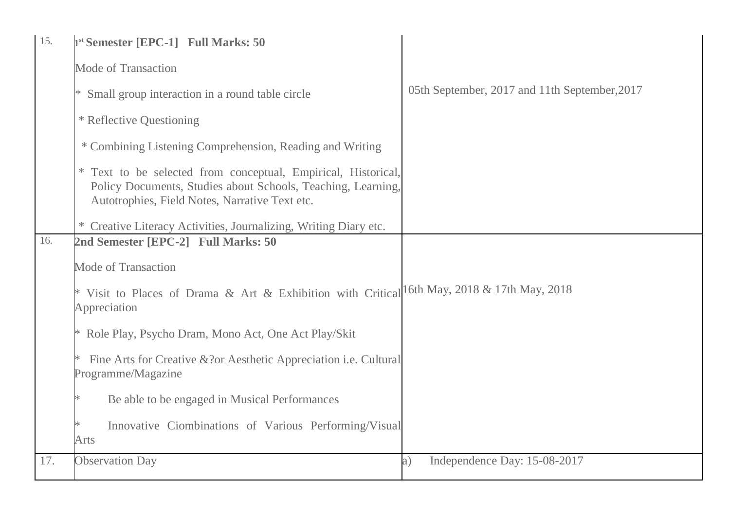| 15. | 1 <sup>st</sup> Semester [EPC-1] Full Marks: 50                                                                                                                                 |                                               |
|-----|---------------------------------------------------------------------------------------------------------------------------------------------------------------------------------|-----------------------------------------------|
|     | <b>Mode of Transaction</b>                                                                                                                                                      |                                               |
|     | * Small group interaction in a round table circle                                                                                                                               | 05th September, 2017 and 11th September, 2017 |
|     | * Reflective Questioning                                                                                                                                                        |                                               |
|     | * Combining Listening Comprehension, Reading and Writing                                                                                                                        |                                               |
|     | * Text to be selected from conceptual, Empirical, Historical,<br>Policy Documents, Studies about Schools, Teaching, Learning,<br>Autotrophies, Field Notes, Narrative Text etc. |                                               |
|     | Creative Literacy Activities, Journalizing, Writing Diary etc.                                                                                                                  |                                               |
| 16. | 2nd Semester [EPC-2] Full Marks: 50                                                                                                                                             |                                               |
|     | <b>Mode of Transaction</b>                                                                                                                                                      |                                               |
|     | * Visit to Places of Drama & Art & Exhibition with Critical <sup>16th May, 2018</sup> & 17th May, 2018<br>Appreciation                                                          |                                               |
|     | * Role Play, Psycho Dram, Mono Act, One Act Play/Skit                                                                                                                           |                                               |
|     | Fine Arts for Creative & ? or Aesthetic Appreciation <i>i.e.</i> Cultural<br>Programme/Magazine                                                                                 |                                               |
|     | Be able to be engaged in Musical Performances<br>∗                                                                                                                              |                                               |
|     | Innovative Ciombinations of Various Performing/Visual<br>Arts                                                                                                                   |                                               |
| 17. | <b>Observation Day</b>                                                                                                                                                          | Independence Day: 15-08-2017<br>a)            |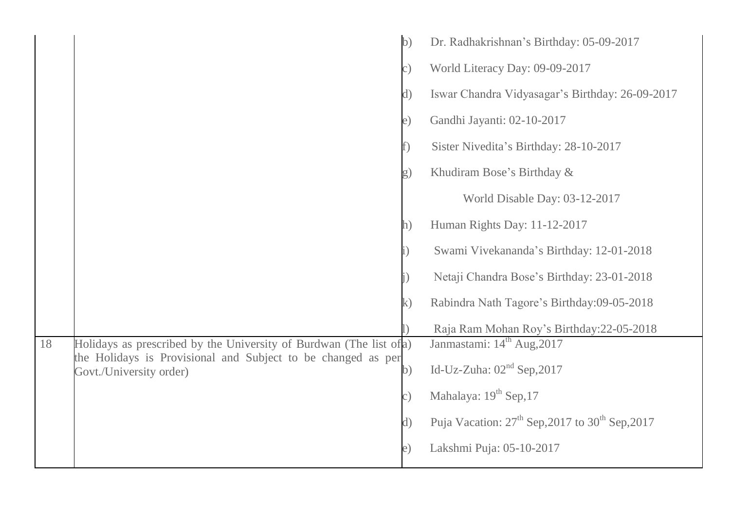|    |                                                                                                                                     | $\mathbf{b}$ | Dr. Radhakrishnan's Birthday: 05-09-2017                                |
|----|-------------------------------------------------------------------------------------------------------------------------------------|--------------|-------------------------------------------------------------------------|
|    |                                                                                                                                     | c)           | World Literacy Day: 09-09-2017                                          |
|    |                                                                                                                                     | $\rm d)$     | Iswar Chandra Vidyasagar's Birthday: 26-09-2017                         |
|    |                                                                                                                                     | e)           | Gandhi Jayanti: 02-10-2017                                              |
|    |                                                                                                                                     |              | Sister Nivedita's Birthday: 28-10-2017                                  |
|    |                                                                                                                                     | g)           | Khudiram Bose's Birthday &                                              |
|    |                                                                                                                                     |              | World Disable Day: 03-12-2017                                           |
|    |                                                                                                                                     | $\ln$ )      | Human Rights Day: 11-12-2017                                            |
|    |                                                                                                                                     |              | Swami Vivekananda's Birthday: 12-01-2018                                |
|    |                                                                                                                                     |              | Netaji Chandra Bose's Birthday: 23-01-2018                              |
|    |                                                                                                                                     | $\mathbf{k}$ | Rabindra Nath Tagore's Birthday:09-05-2018                              |
|    |                                                                                                                                     |              | Raja Ram Mohan Roy's Birthday: 22-05-2018                               |
| 18 | Holidays as prescribed by the University of Burdwan (The list of a)<br>the Holidays is Provisional and Subject to be changed as per |              | Janmastami: 14 <sup>th</sup> Aug, 2017                                  |
|    | Govt./University order)                                                                                                             | $\mathbf{b}$ | Id-Uz-Zuha: $02nd$ Sep, 2017                                            |
|    |                                                                                                                                     | $\circ$ )    | Mahalaya: 19 <sup>th</sup> Sep, 17                                      |
|    |                                                                                                                                     | $\rm d)$     | Puja Vacation: 27 <sup>th</sup> Sep, 2017 to 30 <sup>th</sup> Sep, 2017 |
|    |                                                                                                                                     | e)           | Lakshmi Puja: 05-10-2017                                                |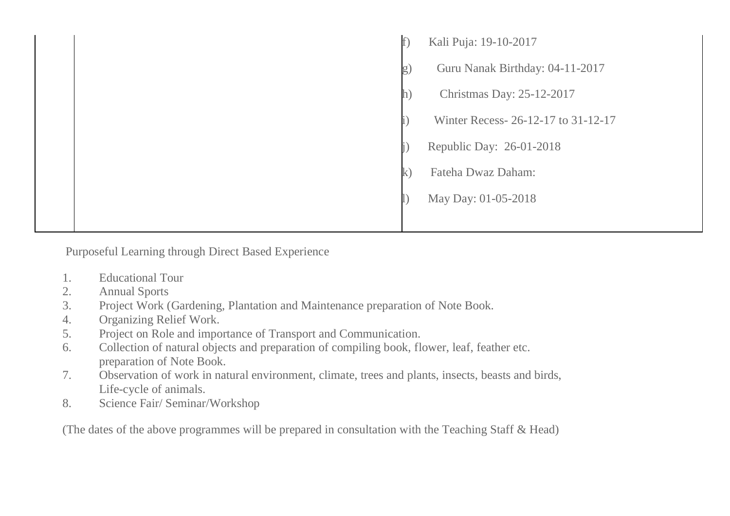| t  | Kali Puja: 19-10-2017              |
|----|------------------------------------|
| g) | Guru Nanak Birthday: 04-11-2017    |
|    | Christmas Day: 25-12-2017          |
|    | Winter Recess-26-12-17 to 31-12-17 |
|    | Republic Day: 26-01-2018           |
| K  | Fateha Dwaz Daham:                 |
|    | May Day: 01-05-2018                |
|    |                                    |

Purposeful Learning through Direct Based Experience

- 1. Educational Tour
- 2. Annual Sports
- 3. Project Work (Gardening, Plantation and Maintenance preparation of Note Book.
- 4. Organizing Relief Work.
- 5. Project on Role and importance of Transport and Communication.
- 6. Collection of natural objects and preparation of compiling book, flower, leaf, feather etc. preparation of Note Book.
- 7. Observation of work in natural environment, climate, trees and plants, insects, beasts and birds, Life-cycle of animals.
- 8. Science Fair/ Seminar/Workshop

(The dates of the above programmes will be prepared in consultation with the Teaching Staff & Head)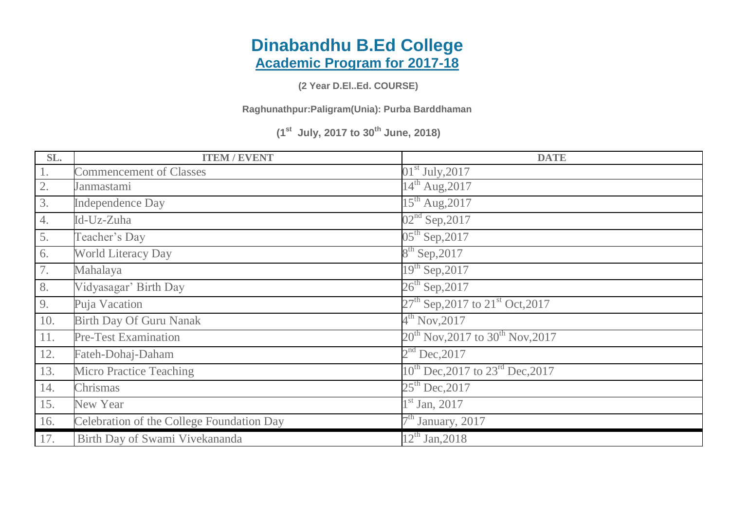## **Dinabandhu B.Ed College Academic Program for 2017-18**

**(2 Year D.El..Ed. COURSE)**

**Raghunathpur:Paligram(Unia): Purba Barddhaman**

**(1st July, 2017 to 30th June, 2018)**

| SL.  | <b>ITEM / EVENT</b>                       | <b>DATE</b>                                       |
|------|-------------------------------------------|---------------------------------------------------|
| $1.$ | <b>Commencement of Classes</b>            | $01st$ July, 2017                                 |
| 2.   | Janmastami                                | $14^{th}$ Aug, 2017                               |
| 3.   | <b>Independence Day</b>                   | $15^{th}$ Aug, 2017                               |
| 4.   | Id-Uz-Zuha                                | $02nd$ Sep, 2017                                  |
| 5.   | Teacher's Day                             | $05^{th}$ Sep, 2017                               |
| 6.   | <b>World Literacy Day</b>                 | $8^{th}$ Sep, 2017                                |
| 7.   | Mahalaya                                  | $19^{th}$ Sep, 2017                               |
| 8.   | Vidyasagar' Birth Day                     | $26^{th}$ Sep, 2017                               |
| 9.   | Puja Vacation                             | $27th$ Sep, 2017 to $21st$ Oct, 2017              |
| 10.  | <b>Birth Day Of Guru Nanak</b>            | $4^{th}$ Nov, 2017                                |
| 11.  | <b>Pre-Test Examination</b>               | $20^{th}$ Nov, 2017 to 30 <sup>th</sup> Nov, 2017 |
| 12.  | Fateh-Dohaj-Daham                         | $2nd$ Dec, 2017                                   |
| 13.  | <b>Micro Practice Teaching</b>            | $10^{th}$ Dec, 2017 to $23^{rd}$ Dec, 2017        |
| 14.  | Chrismas                                  | $25^{th}$ Dec, 2017                               |
| 15.  | <b>New Year</b>                           | $1st$ Jan, 2017                                   |
| 16.  | Celebration of the College Foundation Day | $7th$ January, 2017                               |
| 17.  | Birth Day of Swami Vivekananda            | $12^{th}$ Jan, 2018                               |